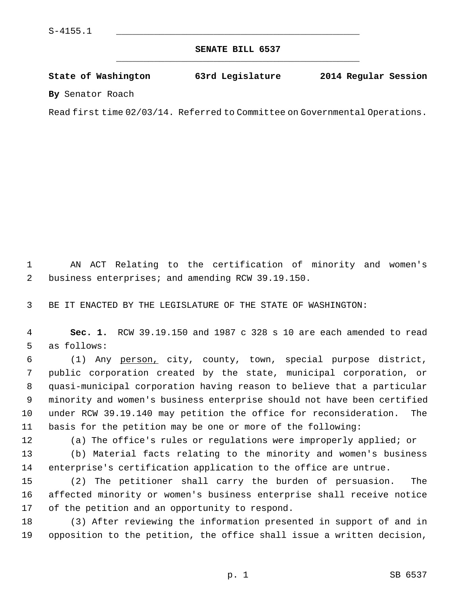**SENATE BILL 6537** \_\_\_\_\_\_\_\_\_\_\_\_\_\_\_\_\_\_\_\_\_\_\_\_\_\_\_\_\_\_\_\_\_\_\_\_\_\_\_\_\_\_\_\_\_

**State of Washington 63rd Legislature 2014 Regular Session**

**By** Senator Roach

Read first time 02/03/14. Referred to Committee on Governmental Operations.

 1 AN ACT Relating to the certification of minority and women's 2 business enterprises; and amending RCW 39.19.150.

3 BE IT ENACTED BY THE LEGISLATURE OF THE STATE OF WASHINGTON:

 4 **Sec. 1.** RCW 39.19.150 and 1987 c 328 s 10 are each amended to read 5 as follows:

 6 (1) Any person, city, county, town, special purpose district, 7 public corporation created by the state, municipal corporation, or 8 quasi-municipal corporation having reason to believe that a particular 9 minority and women's business enterprise should not have been certified 10 under RCW 39.19.140 may petition the office for reconsideration. The 11 basis for the petition may be one or more of the following:

12 (a) The office's rules or regulations were improperly applied; or

13 (b) Material facts relating to the minority and women's business 14 enterprise's certification application to the office are untrue.

15 (2) The petitioner shall carry the burden of persuasion. The 16 affected minority or women's business enterprise shall receive notice 17 of the petition and an opportunity to respond.

18 (3) After reviewing the information presented in support of and in 19 opposition to the petition, the office shall issue a written decision,